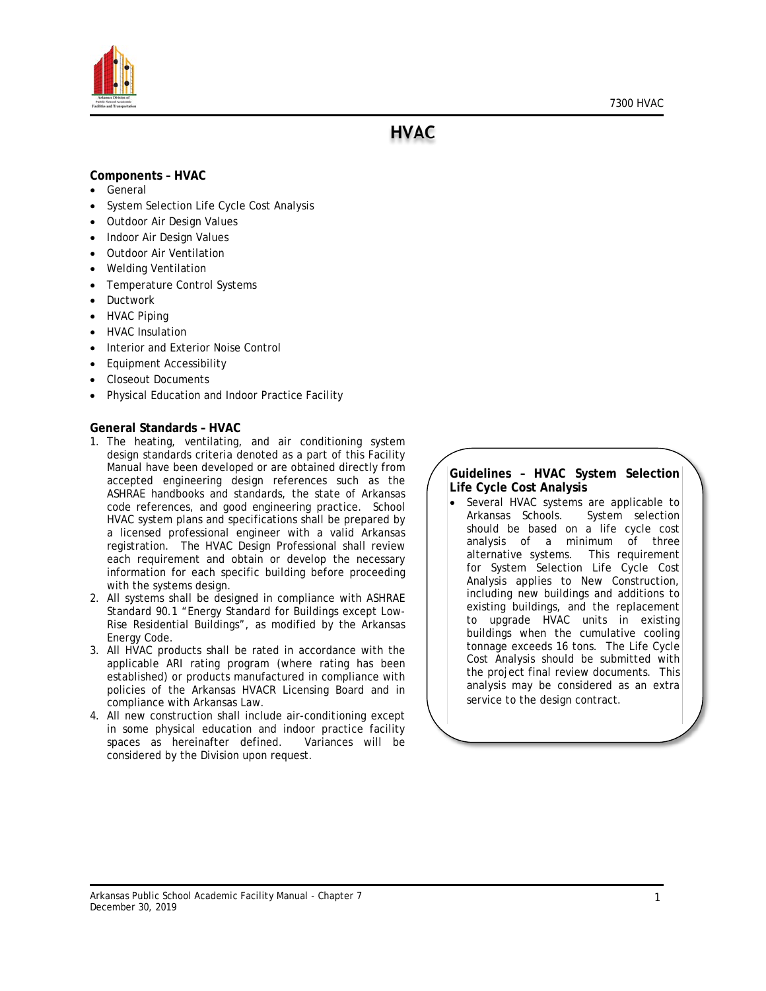

**HVAC** 

#### **Components – HVAC**

- General
- System Selection Life Cycle Cost Analysis
- Outdoor Air Design Values
- Indoor Air Design Values
- Outdoor Air Ventilation
- Welding Ventilation
- Temperature Control Systems
- **Ductwork**
- HVAC Piping
- HVAC Insulation
- Interior and Exterior Noise Control
- Equipment Accessibility
- Closeout Documents
- Physical Education and Indoor Practice Facility

#### **General Standards – HVAC**

- 1. The heating, ventilating, and air conditioning system design standards criteria denoted as a part of this Facility Manual have been developed or are obtained directly from accepted engineering design references such as the ASHRAE handbooks and standards, the state of Arkansas code references, and good engineering practice. School HVAC system plans and specifications shall be prepared by a licensed professional engineer with a valid Arkansas registration. The HVAC Design Professional shall review each requirement and obtain or develop the necessary information for each specific building before proceeding with the systems design.
- 2. All systems shall be designed in compliance with ASHRAE Standard 90.1 "Energy Standard for Buildings except Low-Rise Residential Buildings", as modified by the Arkansas Energy Code.
- 3. All HVAC products shall be rated in accordance with the applicable ARI rating program (where rating has been established) or products manufactured in compliance with policies of the Arkansas HVACR Licensing Board and in compliance with Arkansas Law.
- 4. All new construction shall include air-conditioning except in some physical education and indoor practice facility spaces as hereinafter defined. Variances will be considered by the Division upon request.

### **Guidelines – HVAC System Selection Life Cycle Cost Analysis**

Several HVAC systems are applicable to Arkansas Schools. System selection should be based on a life cycle cost analysis of a minimum of three alternative systems. This requirement for System Selection Life Cycle Cost Analysis applies to New Construction, including new buildings and additions to existing buildings, and the replacement to upgrade HVAC units in existing buildings when the cumulative cooling tonnage exceeds 16 tons. The Life Cycle Cost Analysis should be submitted with the project final review documents. This analysis may be considered as an extra service to the design contract.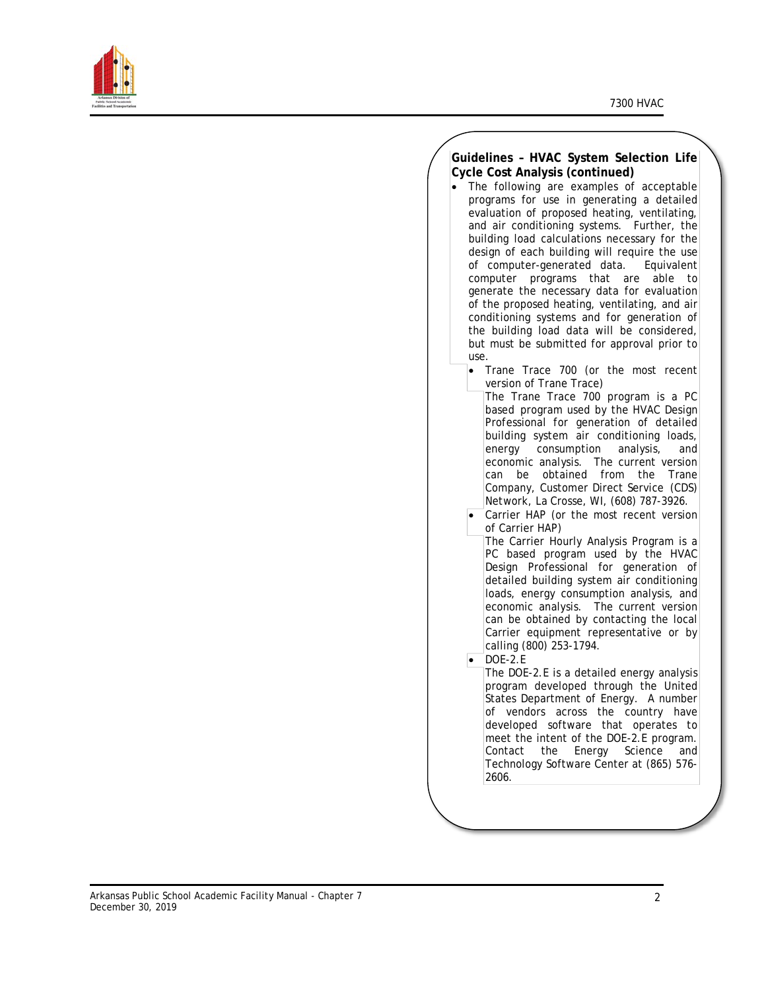

### **Guidelines – HVAC System Selection Life Cycle Cost Analysis (continued)** • The following are examples of acceptable programs for use in generating a detailed evaluation of proposed heating, ventilating, and air conditioning systems. Further, the building load calculations necessary for the design of each building will require the use of computer-generated data. Equivalent computer programs that are able to generate the necessary data for evaluation of the proposed heating, ventilating, and air conditioning systems and for generation of the building load data will be considered, but must be submitted for approval prior to use. • Trane Trace 700 (or the most recent version of Trane Trace) The Trane Trace 700 program is a PC based program used by the HVAC Design Professional for generation of detailed building system air conditioning loads, energy consumption analysis, and economic analysis. The current version can be obtained from the Trane Company, Customer Direct Service (CDS) Network, La Crosse, WI, (608) 787-3926. Carrier HAP (or the most recent version of Carrier HAP) The Carrier Hourly Analysis Program is a PC based program used by the HVAC Design Professional for generation of detailed building system air conditioning loads, energy consumption analysis, and economic analysis. The current version can be obtained by contacting the local Carrier equipment representative or by calling (800) 253-1794. • DOE-2.E The DOE-2.E is a detailed energy analysis program developed through the United States Department of Energy. A number of vendors across the country have developed software that operates to meet the intent of the DOE-2.E program. Contact the Energy Science and Technology Software Center at (865) 576- 2606.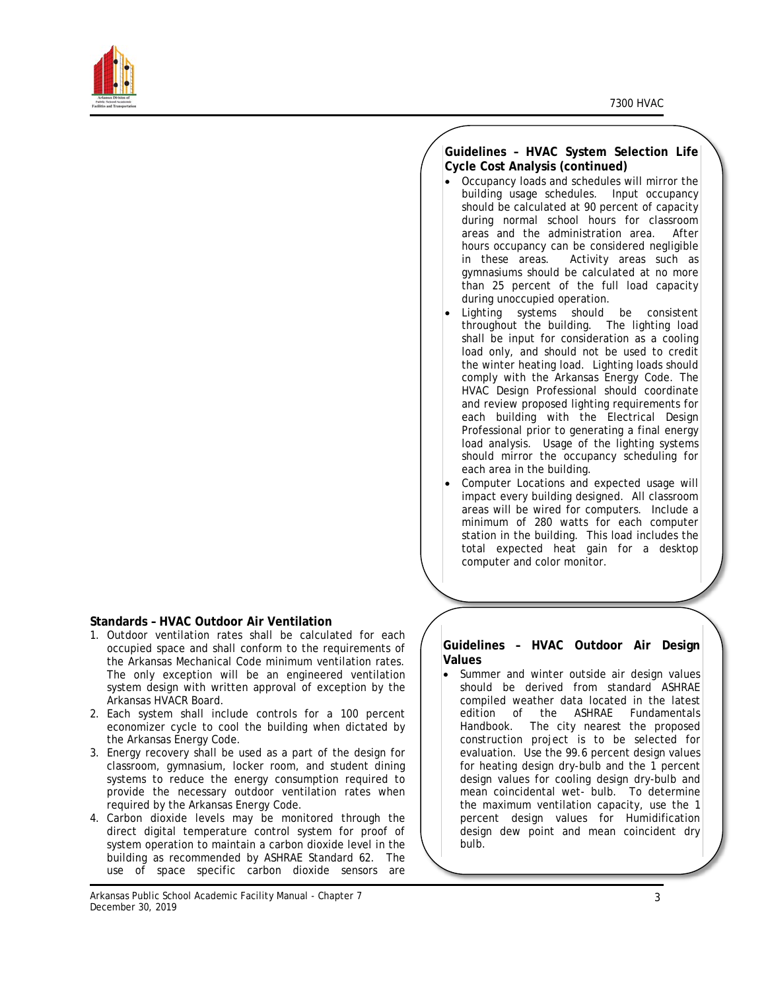

### **Standards – HVAC Outdoor Air Ventilation**

- 1. Outdoor ventilation rates shall be calculated for each occupied space and shall conform to the requirements of the Arkansas Mechanical Code minimum ventilation rates. The only exception will be an engineered ventilation system design with written approval of exception by the Arkansas HVACR Board.
- 2. Each system shall include controls for a 100 percent economizer cycle to cool the building when dictated by the Arkansas Energy Code.
- 3. Energy recovery shall be used as a part of the design for classroom, gymnasium, locker room, and student dining systems to reduce the energy consumption required to provide the necessary outdoor ventilation rates when required by the Arkansas Energy Code.
- 4. Carbon dioxide levels may be monitored through the direct digital temperature control system for proof of system operation to maintain a carbon dioxide level in the building as recommended by ASHRAE Standard 62. The use of space specific carbon dioxide sensors are

### **Guidelines – HVAC System Selection Life Cycle Cost Analysis (continued)**

- Occupancy loads and schedules will mirror the building usage schedules. Input occupancy should be calculated at 90 percent of capacity during normal school hours for classroom areas and the administration area. After hours occupancy can be considered negligible in these areas. Activity areas such as gymnasiums should be calculated at no more than 25 percent of the full load capacity during unoccupied operation.
- Lighting systems should be consistent throughout the building. The lighting load shall be input for consideration as a cooling load only, and should not be used to credit the winter heating load. Lighting loads should comply with the Arkansas Energy Code. The HVAC Design Professional should coordinate and review proposed lighting requirements for each building with the Electrical Design Professional prior to generating a final energy load analysis. Usage of the lighting systems should mirror the occupancy scheduling for each area in the building.
- Computer Locations and expected usage will impact every building designed. All classroom areas will be wired for computers. Include a minimum of 280 watts for each computer station in the building. This load includes the total expected heat gain for a desktop computer and color monitor.

#### **Guidelines – HVAC Outdoor Air Design Values**

• Summer and winter outside air design values should be derived from standard ASHRAE compiled weather data located in the latest edition of the ASHRAE Fundamentals Handbook. The city nearest the proposed construction project is to be selected for evaluation. Use the 99.6 percent design values for heating design dry-bulb and the 1 percent design values for cooling design dry-bulb and mean coincidental wet- bulb. To determine the maximum ventilation capacity, use the 1 percent design values for Humidification design dew point and mean coincident dry bulb.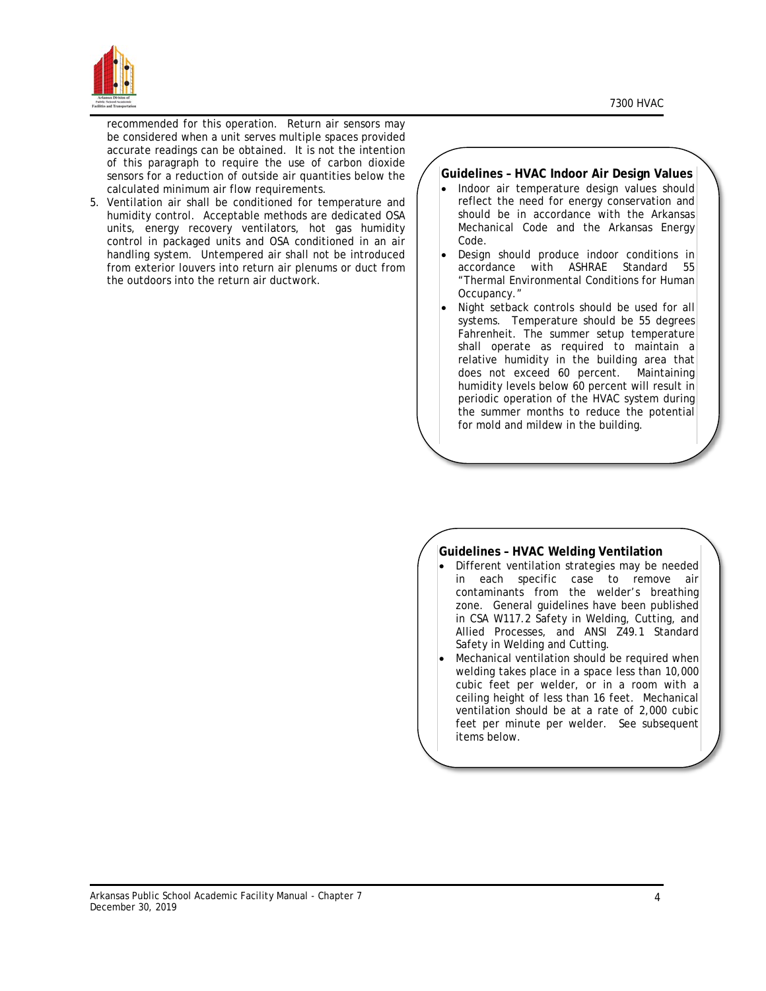

recommended for this operation. Return air sensors may be considered when a unit serves multiple spaces provided accurate readings can be obtained. It is not the intention of this paragraph to require the use of carbon dioxide sensors for a reduction of outside air quantities below the calculated minimum air flow requirements.

5. Ventilation air shall be conditioned for temperature and humidity control. Acceptable methods are dedicated OSA units, energy recovery ventilators, hot gas humidity control in packaged units and OSA conditioned in an air handling system. Untempered air shall not be introduced from exterior louvers into return air plenums or duct from the outdoors into the return air ductwork.

### **Guidelines – HVAC Indoor Air Design Values**

- Indoor air temperature design values should reflect the need for energy conservation and should be in accordance with the Arkansas Mechanical Code and the Arkansas Energy Code.
- Design should produce indoor conditions in accordance with ASHRAE Standard 55 "Thermal Environmental Conditions for Human Occupancy."
- Night setback controls should be used for all systems. Temperature should be 55 degrees Fahrenheit. The summer setup temperature shall operate as required to maintain a relative humidity in the building area that does not exceed 60 percent. Maintaining humidity levels below 60 percent will result in periodic operation of the HVAC system during the summer months to reduce the potential for mold and mildew in the building.

### **Guidelines – HVAC Welding Ventilation**

- Different ventilation strategies may be needed in each specific case to remove air contaminants from the welder's breathing zone. General guidelines have been published in CSA W117.2 Safety in Welding, Cutting, and Allied Processes, and ANSI Z49.1 Standard Safety in Welding and Cutting.
- Mechanical ventilation should be required when welding takes place in a space less than 10,000 cubic feet per welder, or in a room with a ceiling height of less than 16 feet. Mechanical ventilation should be at a rate of 2,000 cubic feet per minute per welder. See subsequent items below.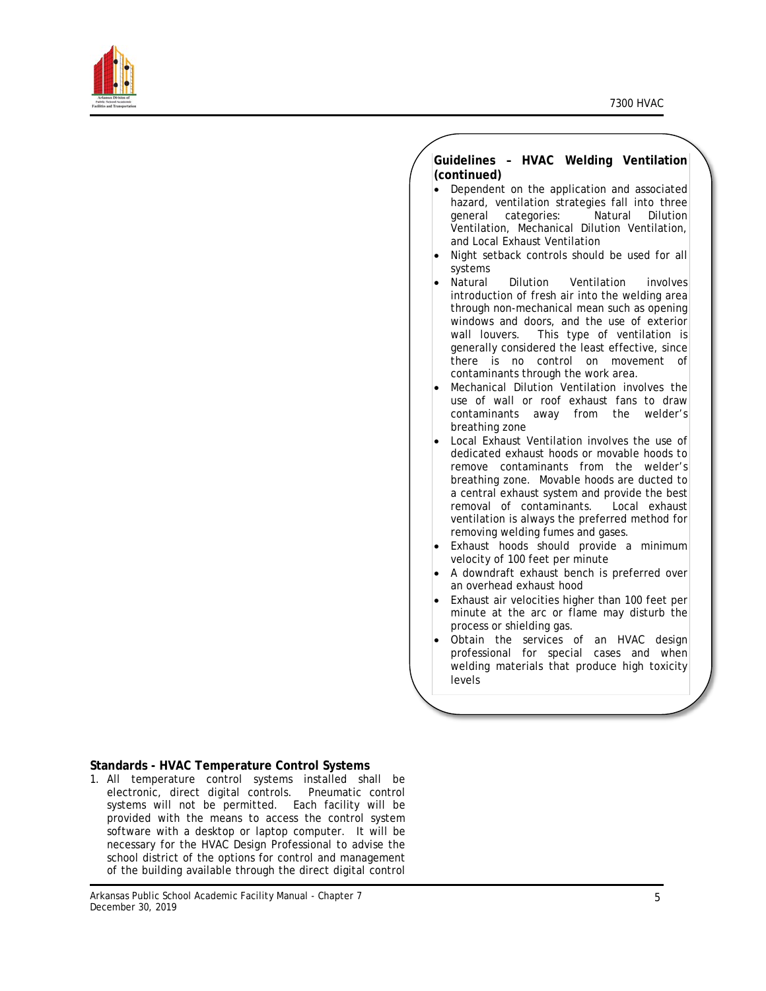

|           | Guidelines - HVAC Welding Ventilation                |
|-----------|------------------------------------------------------|
|           | (continued)                                          |
| $\bullet$ | Dependent on the application and associated          |
|           | hazard, ventilation strategies fall into three       |
|           | categories:<br>Natural<br><b>Dilution</b><br>qeneral |
|           | Ventilation, Mechanical Dilution Ventilation,        |
|           | and Local Exhaust Ventilation                        |
| $\bullet$ | Night setback controls should be used for all        |
|           | systems                                              |
| $\bullet$ | Natural<br>Dilution Ventilation<br>involves          |
|           | introduction of fresh air into the welding area      |
|           | through non-mechanical mean such as opening          |
|           | windows and doors, and the use of exterior           |
|           | This type of ventilation<br>wall louvers.            |
|           | generally considered the least effective, since      |
|           | no control on<br>there<br>is is<br>movement<br>οf    |
|           | contaminants through the work area.                  |
| $\bullet$ | Mechanical Dilution Ventilation involves the         |
|           | use of wall or roof exhaust fans<br>to draw          |
|           | contaminants<br>away from<br>the<br>welder's         |
|           | breathing zone                                       |
| $\bullet$ | Local Exhaust Ventilation involves the use of        |
|           | dedicated exhaust hoods or movable hoods to          |
|           | remove contaminants from the welder's                |
|           | breathing zone. Movable hoods are ducted to          |
|           | a central exhaust system and provide the best        |
|           | removal of contaminants. Local exhaust               |
|           | ventilation is always the preferred method for       |
|           | removing welding fumes and gases.                    |
| $\bullet$ | Exhaust hoods should provide<br>a<br>minimum         |
|           | velocity of 100 feet per minute                      |
| $\bullet$ | A downdraft exhaust bench is preferred over          |
|           | an overhead exhaust hood                             |
| $\bullet$ | Exhaust air velocities higher than 100 feet per      |
|           | minute at the arc or flame may disturb the           |
|           | process or shielding gas.                            |
| $\bullet$ | Obtain<br>the<br>services of<br>HVAC design<br>an    |
|           | professional<br>for special<br>cases and when        |
|           | welding materials that produce high toxicity         |
|           | levels                                               |

## **Standards - HVAC Temperature Control Systems**

1. All temperature control systems installed shall be electronic, direct digital controls. Pneumatic control systems will not be permitted. Each facility will be provided with the means to access the control system software with a desktop or laptop computer. It will be necessary for the HVAC Design Professional to advise the school district of the options for control and management of the building available through the direct digital control

Arkansas Public School Academic Facility Manual - Chapter 7 December 30, 2019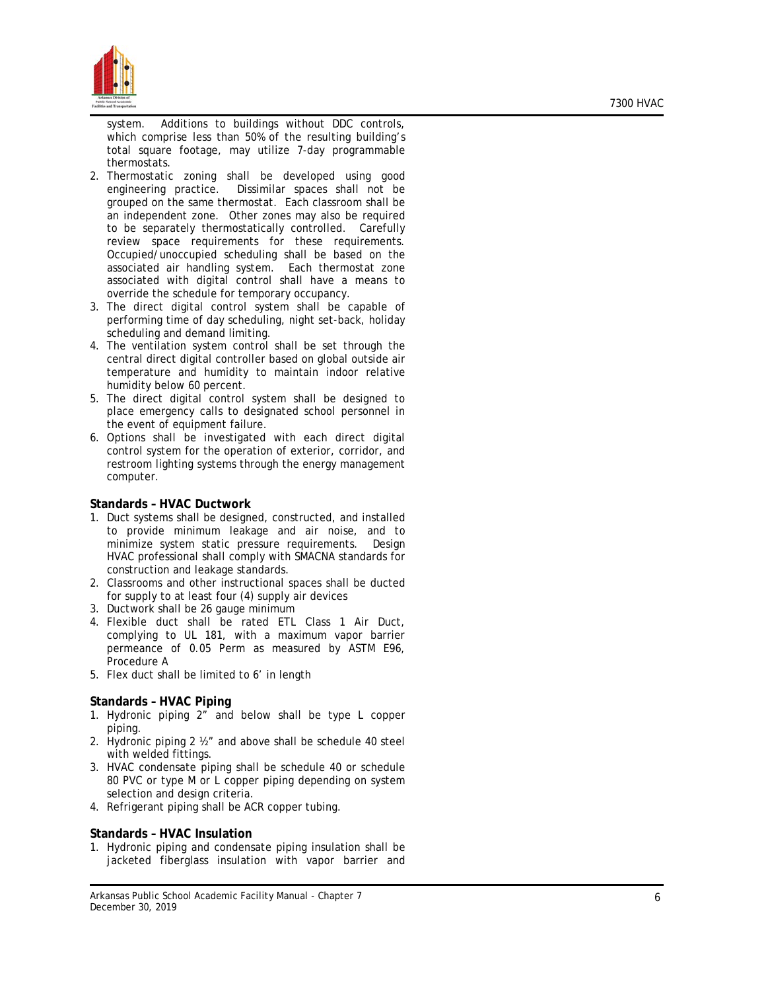

system. Additions to buildings without DDC controls, which comprise less than 50% of the resulting building's total square footage, may utilize 7 -day programmable thermostats.

- 2. Thermostatic zoning shall be developed using good engineering practice. Dissimilar spaces shall not be grouped on the same thermostat. Each classroom shall be an independent zone. Other zones may also be required to be separately thermostatically controlled. Carefully review space requirements for these requirements. Occupied/unoccupied scheduling shall be based on the associated air handling system. Each thermostat zone associated with digital control shall have a means to override the schedule for temporary occupancy.
- 3. The direct digital control system shall be capable of performing time of day scheduling, night set -back, holiday scheduling and demand limiting .
- 4. The ventilation system control shall be set through the central direct digital controller based on global outside air temperature and humidity to maintain indoor relative humidity below 60 percent .
- 5. The direct digital control system shall be designed to place emergency calls to designated school personnel in the event of equipment failure .
- 6. Options shall be investigated with each direct digital control system for the operation of exterior, corridor, and restroom lighting systems through the energy management computer .

### **Standards – HVAC Ductwork**

- 1. Duct systems shall be designed, constructed, and installed to provide minimum leakage and air noise, and to minimize system static pressure requirements. Design HVAC professional shall comply with SMACNA standards for construction and leakage standards.
- 2. Classrooms and other instructional spaces shall be ducted for supply to at least four (4) supply air devices
- 3. Ductwork shall be 26 gauge minimum
- 4. Flexible duct shall be rated ETL Class 1 Air Duct, complying to UL 181, with a maximum vapor barrier permeance of 0.05 Perm as measured by ASTM E96, Procedure A
- 5. Flex duct shall be limited to 6' in length

### **Standards – HVAC Piping**

- 1. Hydronic piping 2" and below shall be type L copper piping .
- 2. Hydronic piping 2 ½" and above shall be schedule 40 steel with welded fittings .
- 3. HVAC condensate piping shall be schedule 40 or schedule 80 PVC or type M or L copper piping depending on system selection and design criteria .
- 4. Refrigerant piping shall be ACR copper tubing .

### **Standards – HVAC Insulation**

1. Hydronic piping and condensate piping insulation shall be jacketed fiberglass insulation with vapor barrier and